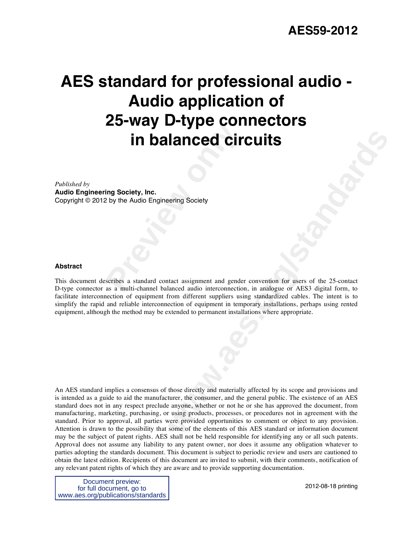# Exaction **in balanced circles**<br> **Property, Inc.**<br>
Preview the Audio Engineering Society<br>
Seribes a standard contact assignment and gende<br>
as a multi-channel balanced audio interconnection **AES standard for professional audio - Audio application of 25-way D-type connectors in balanced circuits**

*Published by* 

**Audio Engineering Society, Inc.**

Copyright © 2012 by the Audio Engineering Society

#### **Abstract**

This document describes a standard contact assignment and gender convention for users of the 25-contact D-type connector as a multi-channel balanced audio interconnection, in analogue or AES3 digital form, to facilitate interconnection of equipment from different suppliers using standardized cables. The intent is to simplify the rapid and reliable interconnection of equipment in temporary installations, perhaps using rented equipment, although the method may be extended to permanent installations where appropriate.

**Example 18 CONTICULTS**<br>
We are the straighterment and gender convention for users of the 25 contact<br>
anced andio interconnection, in analogue or AES3 digital form, to<br>
room different suppliers suita grandardized calobs. T An AES standard implies a consensus of those directly and materially affected by its scope and provisions and is intended as a guide to aid the manufacturer, the consumer, and the general public. The existence of an AES standard does not in any respect preclude anyone, whether or not he or she has approved the document, from manufacturing, marketing, purchasing, or using products, processes, or procedures not in agreement with the standard. Prior to approval, all parties were provided opportunities to comment or object to any provision. Attention is drawn to the possibility that some of the elements of this AES standard or information document may be the subject of patent rights. AES shall not be held responsible for identifying any or all such patents. Approval does not assume any liability to any patent owner, nor does it assume any obligation whatever to parties adopting the standards document. This document is subject to periodic review and users are cautioned to obtain the latest edition. Recipients of this document are invited to submit, with their comments, notification of any relevant patent rights of which they are aware and to provide supporting documentation.

Document preview: for full document, go to www.aes.org/publications/standards

2012-08-18 printing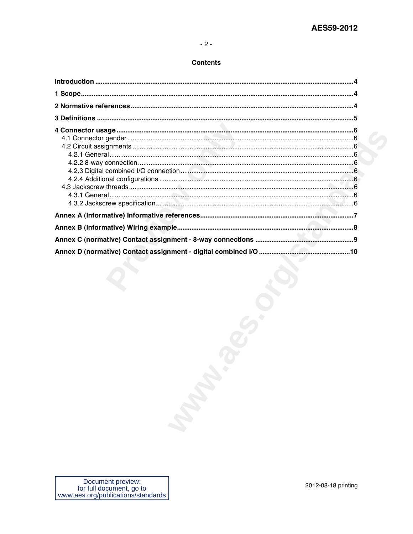### **Contents**

| March 1 |
|---------|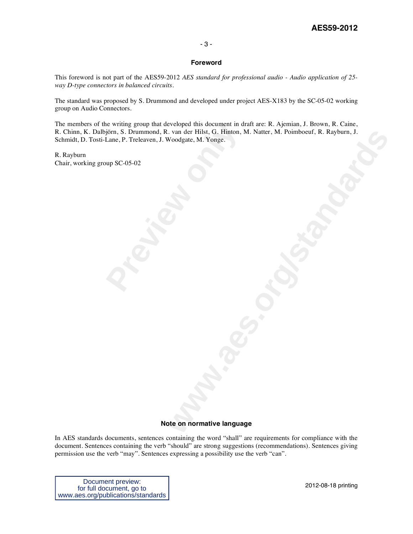#### - 3 -

#### **Foreword**

This foreword is not part of the AES59-2012 *AES standard for professional audio - Audio application of 25 way D-type connectors in balanced circuits.* 

The standard was proposed by S. Drummond and developed under project AES-X183 by the SC-05-02 working group on Audio Connectors.

ie writing group that developed this document in d<br>jorn, S. Drummond, R. van der Hilst, G. Hinton, M.<br>Lane, P. Treleaven, J. Woodgate, M. Yonge.<br>up SC-05-02 . van der Histon, M. Natter, M. Poimboevf. R. Rayburn, J.<br>Voodgate. M. Yonge.<br>**Web School of Action**<br>State on normative language The members of the writing group that developed this document in draft are: R. Ajemian, J. Brown, R. Caine, R. Chinn, K. Dalbjörn, S. Drummond, R. van der Hilst, G. Hinton, M. Natter, M. Poimboeuf, R. Rayburn, J. Schmidt, D. Tosti-Lane, P. Treleaven, J. Woodgate, M. Yonge.

R. Rayburn Chair, working group SC-05-02

#### **Note on normative language**

In AES standards documents, sentences containing the word "shall" are requirements for compliance with the document. Sentences containing the verb "should" are strong suggestions (recommendations). Sentences giving permission use the verb "may". Sentences expressing a possibility use the verb "can".

Document preview: for full document, go to www.aes.org/publications/standards

2012-08-18 printing